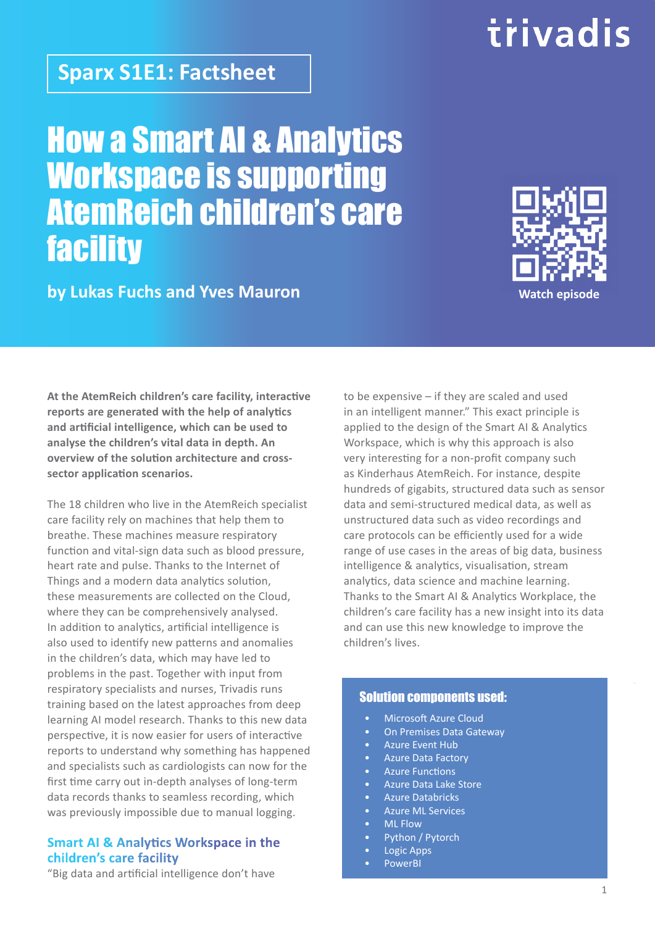## **Sparx S1E1: Factsheet**

How a Smart AI & Analytics Workspace is supporting AtemReich children's care **facility** 

### **by Lukas Fuchs and Yves Mauron**

**At the AtemReich children's care facility, interactive reports are generated with the help of analytics and artificial intelligence, which can be used to analyse the children's vital data in depth. An overview of the solution architecture and crosssector application scenarios.**

The 18 children who live in the AtemReich specialist care facility rely on machines that help them to breathe. These machines measure respiratory function and vital-sign data such as blood pressure, heart rate and pulse. Thanks to the Internet of Things and a modern data analytics solution, these measurements are collected on the Cloud, where they can be comprehensively analysed. In addition to analytics, artificial intelligence is also used to identify new patterns and anomalies in the children's data, which may have led to problems in the past. Together with input from respiratory specialists and nurses, Trivadis runs training based on the latest approaches from deep learning AI model research. Thanks to this new data perspective, it is now easier for users of interactive reports to understand why something has happened and specialists such as cardiologists can now for the first time carry out in-depth analyses of long-term data records thanks to seamless recording, which was previously impossible due to manual logging.

### **Smart AI & Analytics Workspace in the children's care facility**

"Big data and artificial intelligence don't have

to be expensive – if they are scaled and used in an intelligent manner." This exact principle is applied to the design of the Smart AI & Analytics Workspace, which is why this approach is also very interesting for a non-profit company such as Kinderhaus AtemReich. For instance, despite hundreds of gigabits, structured data such as sensor data and semi-structured medical data, as well as unstructured data such as video recordings and care protocols can be efficiently used for a wide range of use cases in the areas of big data, business intelligence & analytics, visualisation, stream analytics, data science and machine learning. Thanks to the Smart AI & Analytics Workplace, the children's care facility has a new insight into its data and can use this new knowledge to improve the children's lives.

### Solution components used:

- Microsoft Azure Cloud
- On Premises Data Gateway
- Azure Event Hub
- Azure Data Factory
- **Azure Functions**
- Azure Data Lake Store
- Azure Databricks • Azure ML Services
- ML Flow
- Python / Pytorch
- Logic Apps
- PowerBI



# trivadis